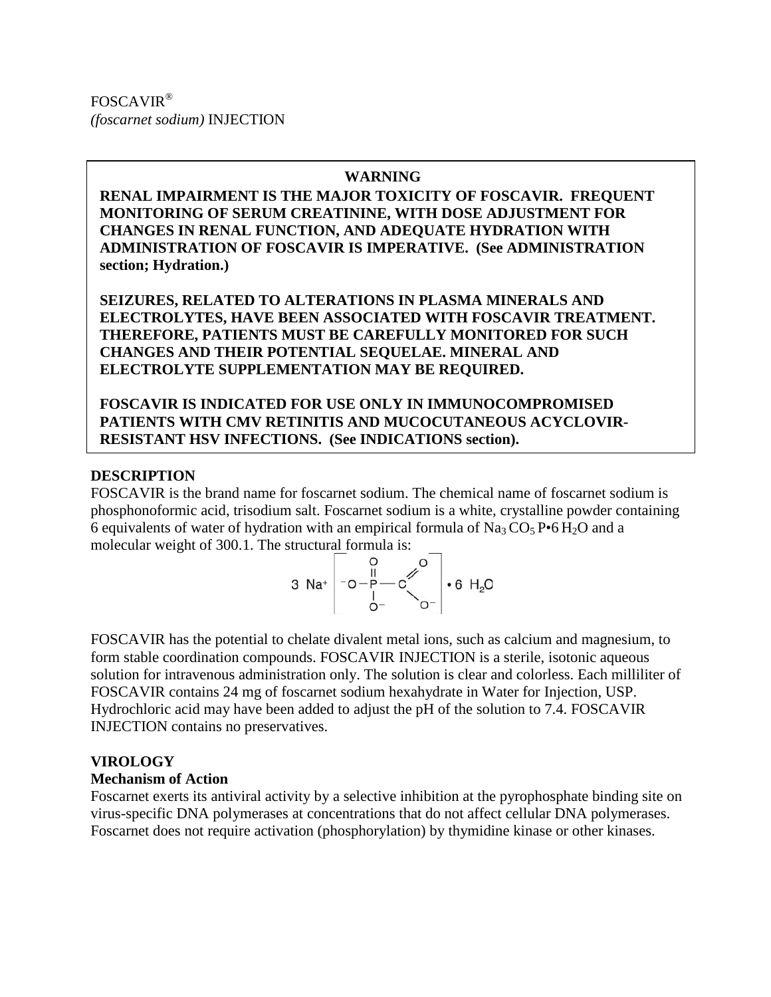FOSCAVIR® *(foscarnet sodium)* INJECTION

#### **WARNING**

**RENAL IMPAIRMENT IS THE MAJOR TOXICITY OF FOSCAVIR. FREQUENT MONITORING OF SERUM CREATININE, WITH DOSE ADJUSTMENT FOR CHANGES IN RENAL FUNCTION, AND ADEQUATE HYDRATION WITH ADMINISTRATION OF FOSCAVIR IS IMPERATIVE. (See ADMINISTRATION section; Hydration.)**

**SEIZURES, RELATED TO ALTERATIONS IN PLASMA MINERALS AND ELECTROLYTES, HAVE BEEN ASSOCIATED WITH FOSCAVIR TREATMENT. THEREFORE, PATIENTS MUST BE CAREFULLY MONITORED FOR SUCH CHANGES AND THEIR POTENTIAL SEQUELAE. MINERAL AND ELECTROLYTE SUPPLEMENTATION MAY BE REQUIRED.**

**FOSCAVIR IS INDICATED FOR USE ONLY IN IMMUNOCOMPROMISED PATIENTS WITH CMV RETINITIS AND MUCOCUTANEOUS ACYCLOVIR-RESISTANT HSV INFECTIONS. (See INDICATIONS section).**

#### **DESCRIPTION**

FOSCAVIR is the brand name for foscarnet sodium. The chemical name of foscarnet sodium is phosphonoformic acid, trisodium salt. Foscarnet sodium is a white, crystalline powder containing 6 equivalents of water of hydration with an empirical formula of  $\text{Na}_3\text{CO}_5\text{P}$  of  $\text{H}_2\text{O}$  and a molecular weight of 300.1. The structural formula is:

3 Na<sup>+</sup> 
$$
\begin{bmatrix} 0 & 0 \\ -0 - P & C \\ 0 & 0 \end{bmatrix}
$$
  $\cdot$  6 H<sub>2</sub>O

FOSCAVIR has the potential to chelate divalent metal ions, such as calcium and magnesium, to form stable coordination compounds. FOSCAVIR INJECTION is a sterile, isotonic aqueous solution for intravenous administration only. The solution is clear and colorless. Each milliliter of FOSCAVIR contains 24 mg of foscarnet sodium hexahydrate in Water for Injection, USP. Hydrochloric acid may have been added to adjust the pH of the solution to 7.4. FOSCAVIR INJECTION contains no preservatives.

## **VIROLOGY**

## **Mechanism of Action**

Foscarnet exerts its antiviral activity by a selective inhibition at the pyrophosphate binding site on virus-specific DNA polymerases at concentrations that do not affect cellular DNA polymerases. Foscarnet does not require activation (phosphorylation) by thymidine kinase or other kinases.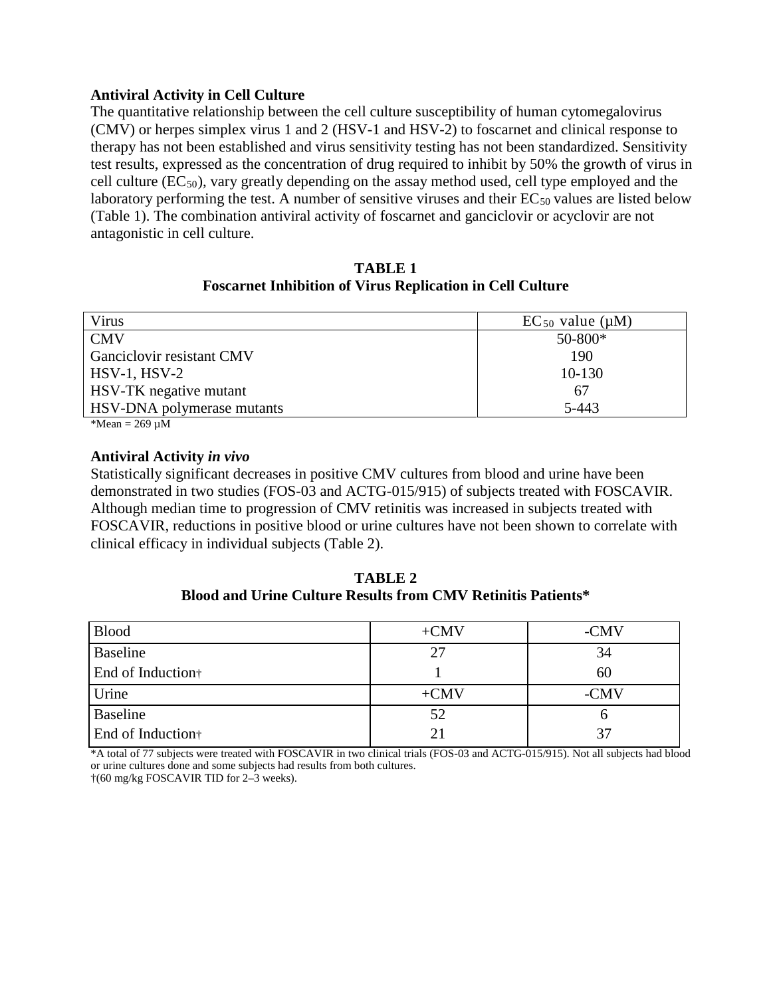## **Antiviral Activity in Cell Culture**

The quantitative relationship between the cell culture susceptibility of human cytomegalovirus (CMV) or herpes simplex virus 1 and 2 (HSV-1 and HSV-2) to foscarnet and clinical response to therapy has not been established and virus sensitivity testing has not been standardized. Sensitivity test results, expressed as the concentration of drug required to inhibit by 50% the growth of virus in cell culture  $(EC_{50})$ , vary greatly depending on the assay method used, cell type employed and the laboratory performing the test. A number of sensitive viruses and their  $EC_{50}$  values are listed below (Table 1). The combination antiviral activity of foscarnet and ganciclovir or acyclovir are not antagonistic in cell culture.

**TABLE 1 Foscarnet Inhibition of Virus Replication in Cell Culture**

| Virus                      | $EC_{50}$ value ( $\mu$ M) |
|----------------------------|----------------------------|
| <b>CMV</b>                 | $50 - 800*$                |
| Ganciclovir resistant CMV  | 190                        |
| $HSV-1, HSV-2$             | $10-130$                   |
| HSV-TK negative mutant     | 67                         |
| HSV-DNA polymerase mutants | 5-443                      |
| $*M_{\text{com}} = 260M$   |                            |

\*Mean = 269 µM

## **Antiviral Activity** *in vivo*

Statistically significant decreases in positive CMV cultures from blood and urine have been demonstrated in two studies (FOS-03 and ACTG-015/915) of subjects treated with FOSCAVIR. Although median time to progression of CMV retinitis was increased in subjects treated with FOSCAVIR, reductions in positive blood or urine cultures have not been shown to correlate with clinical efficacy in individual subjects (Table 2).

**TABLE 2 Blood and Urine Culture Results from CMV Retinitis Patients\***

| <b>Blood</b>                  | $+CMV$ | -CMV |
|-------------------------------|--------|------|
| <b>Baseline</b>               |        | 34   |
| End of Induction <sup>+</sup> |        | 60   |
| Urine                         | $+CMV$ | -CMV |
| Baseline                      | 52     |      |
| End of Induction <sup>†</sup> |        | 37   |

\*A total of 77 subjects were treated with FOSCAVIR in two clinical trials (FOS-03 and ACTG-015/915). Not all subjects had blood or urine cultures done and some subjects had results from both cultures.

†(60 mg/kg FOSCAVIR TID for 2–3 weeks).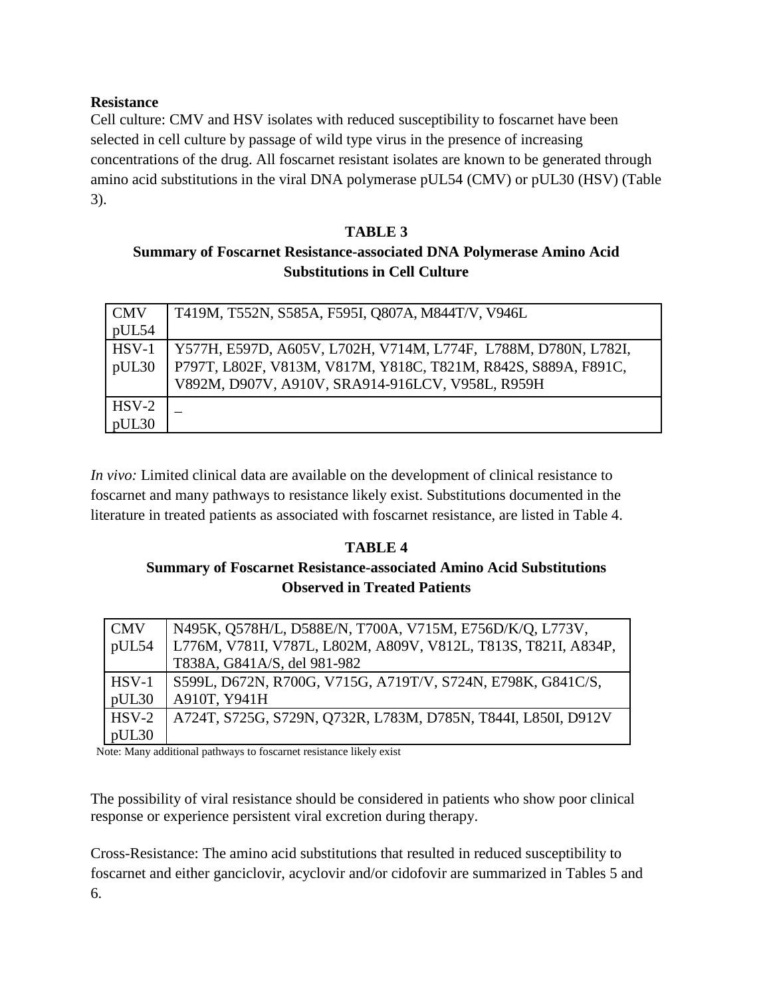# **Resistance**

Cell culture: CMV and HSV isolates with reduced susceptibility to foscarnet have been selected in cell culture by passage of wild type virus in the presence of increasing concentrations of the drug. All foscarnet resistant isolates are known to be generated through amino acid substitutions in the viral DNA polymerase pUL54 (CMV) or pUL30 (HSV) (Table 3).

# **TABLE 3**

# **Summary of Foscarnet Resistance-associated DNA Polymerase Amino Acid Substitutions in Cell Culture**

| <b>CMV</b> | T419M, T552N, S585A, F595I, Q807A, M844T/V, V946L              |
|------------|----------------------------------------------------------------|
| pUL54      |                                                                |
| HSV-1      | Y577H, E597D, A605V, L702H, V714M, L774F, L788M, D780N, L782I, |
| pUL30      | P797T, L802F, V813M, V817M, Y818C, T821M, R842S, S889A, F891C, |
|            | V892M, D907V, A910V, SRA914-916LCV, V958L, R959H               |
| $HSV-2$    |                                                                |
| pUL30      |                                                                |

*In vivo:* Limited clinical data are available on the development of clinical resistance to foscarnet and many pathways to resistance likely exist. Substitutions documented in the literature in treated patients as associated with foscarnet resistance, are listed in Table 4.

# **TABLE 4 Summary of Foscarnet Resistance-associated Amino Acid Substitutions Observed in Treated Patients**

| <b>CMV</b> | N495K, Q578H/L, D588E/N, T700A, V715M, E756D/K/Q, L773V,       |
|------------|----------------------------------------------------------------|
| pUL54      | L776M, V781I, V787L, L802M, A809V, V812L, T813S, T821I, A834P, |
|            | T838A, G841A/S, del 981-982                                    |
| $HSV-1$    | S599L, D672N, R700G, V715G, A719T/V, S724N, E798K, G841C/S,    |
| pUL30      | A910T, Y941H                                                   |
| $HSV-2$    | A724T, S725G, S729N, Q732R, L783M, D785N, T844I, L850I, D912V  |
| pUL30      |                                                                |

Note: Many additional pathways to foscarnet resistance likely exist

The possibility of viral resistance should be considered in patients who show poor clinical response or experience persistent viral excretion during therapy.

Cross-Resistance: The amino acid substitutions that resulted in reduced susceptibility to foscarnet and either ganciclovir, acyclovir and/or cidofovir are summarized in Tables 5 and 6.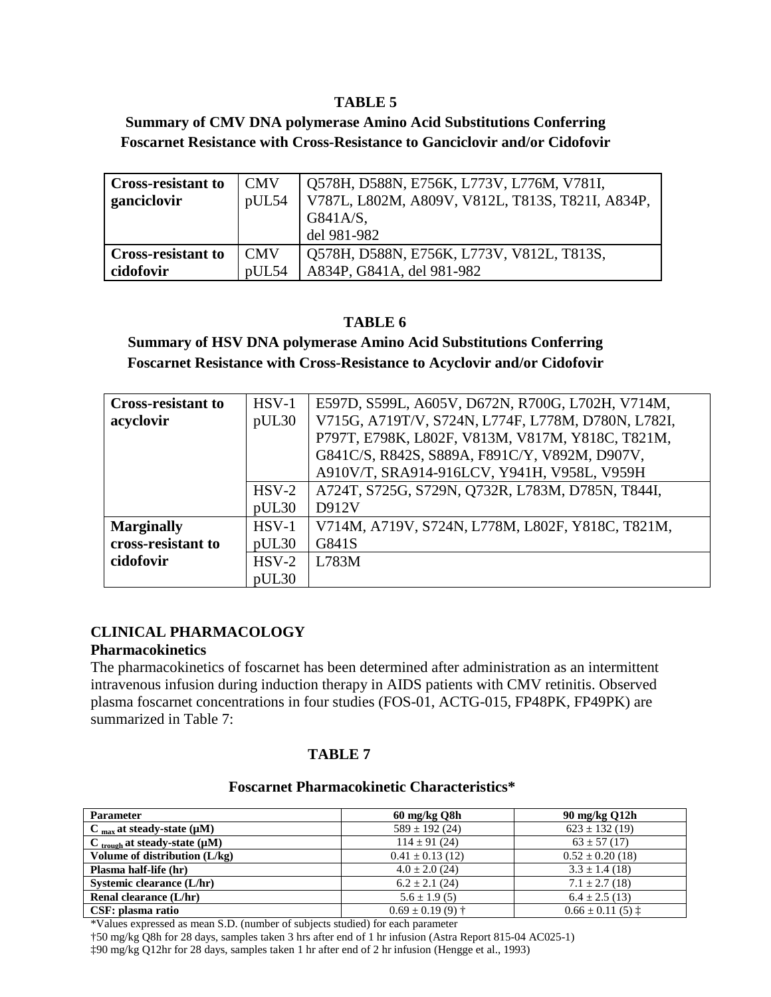#### **TABLE 5**

# **Summary of CMV DNA polymerase Amino Acid Substitutions Conferring Foscarnet Resistance with Cross-Resistance to Ganciclovir and/or Cidofovir**

| <b>Cross-resistant to</b> | <b>CMV</b> | Q578H, D588N, E756K, L773V, L776M, V781I,        |
|---------------------------|------------|--------------------------------------------------|
| ganciclovir               | pUL54      | V787L, L802M, A809V, V812L, T813S, T821I, A834P, |
|                           |            | G841A/S,                                         |
|                           |            | del 981-982                                      |
| <b>Cross-resistant to</b> | <b>CMV</b> | Q578H, D588N, E756K, L773V, V812L, T813S,        |
| cidofovir                 | pUL54      | A834P, G841A, del 981-982                        |

## **TABLE 6**

**Summary of HSV DNA polymerase Amino Acid Substitutions Conferring Foscarnet Resistance with Cross-Resistance to Acyclovir and/or Cidofovir**

| <b>Cross-resistant to</b> | $HSV-1$ | E597D, S599L, A605V, D672N, R700G, L702H, V714M,   |
|---------------------------|---------|----------------------------------------------------|
| acyclovir                 | pUL30   | V715G, A719T/V, S724N, L774F, L778M, D780N, L782I, |
|                           |         | P797T, E798K, L802F, V813M, V817M, Y818C, T821M,   |
|                           |         | G841C/S, R842S, S889A, F891C/Y, V892M, D907V,      |
|                           |         | A910V/T, SRA914-916LCV, Y941H, V958L, V959H        |
|                           | $HSV-2$ | A724T, S725G, S729N, Q732R, L783M, D785N, T844I,   |
|                           | pUL30   | D912V                                              |
| <b>Marginally</b>         | $HSV-1$ | V714M, A719V, S724N, L778M, L802F, Y818C, T821M,   |
| cross-resistant to        | pUL30   | G841S                                              |
| cidofovir                 | $HSV-2$ | L783M                                              |
|                           | pUL30   |                                                    |

## **CLINICAL PHARMACOLOGY**

#### **Pharmacokinetics**

The pharmacokinetics of foscarnet has been determined after administration as an intermittent intravenous infusion during induction therapy in AIDS patients with CMV retinitis. Observed plasma foscarnet concentrations in four studies (FOS-01, ACTG-015, FP48PK, FP49PK) are summarized in Table 7:

## **TABLE 7**

#### **Foscarnet Pharmacokinetic Characteristics\***

| <b>Parameter</b>                               | 60 mg/kg Q8h         | 90 mg/kg Q12h                  |
|------------------------------------------------|----------------------|--------------------------------|
| $C_{\text{max}}$ at steady-state ( $\mu$ M)    | $589 \pm 192$ (24)   | $623 \pm 132(19)$              |
| $C_{\text{trough}}$ at steady-state ( $\mu$ M) | $114 \pm 91(24)$     | $63 \pm 57$ (17)               |
| Volume of distribution (L/kg)                  | $0.41 \pm 0.13$ (12) | $0.52 \pm 0.20$ (18)           |
| Plasma half-life (hr)                          | $4.0 \pm 2.0$ (24)   | $3.3 \pm 1.4$ (18)             |
| Systemic clearance (L/hr)                      | $6.2 \pm 2.1$ (24)   | $7.1 \pm 2.7$ (18)             |
| Renal clearance (L/hr)                         | $5.6 \pm 1.9(5)$     | $6.4 \pm 2.5(13)$              |
| CSF: plasma ratio                              | $0.69 \pm 0.19(9)$ † | $0.66 \pm 0.11(5) \pm 0.01(5)$ |

\*Values expressed as mean S.D. (number of subjects studied) for each parameter

†50 mg/kg Q8h for 28 days, samples taken 3 hrs after end of 1 hr infusion (Astra Report 815-04 AC025-1)

‡90 mg/kg Q12hr for 28 days, samples taken 1 hr after end of 2 hr infusion (Hengge et al., 1993)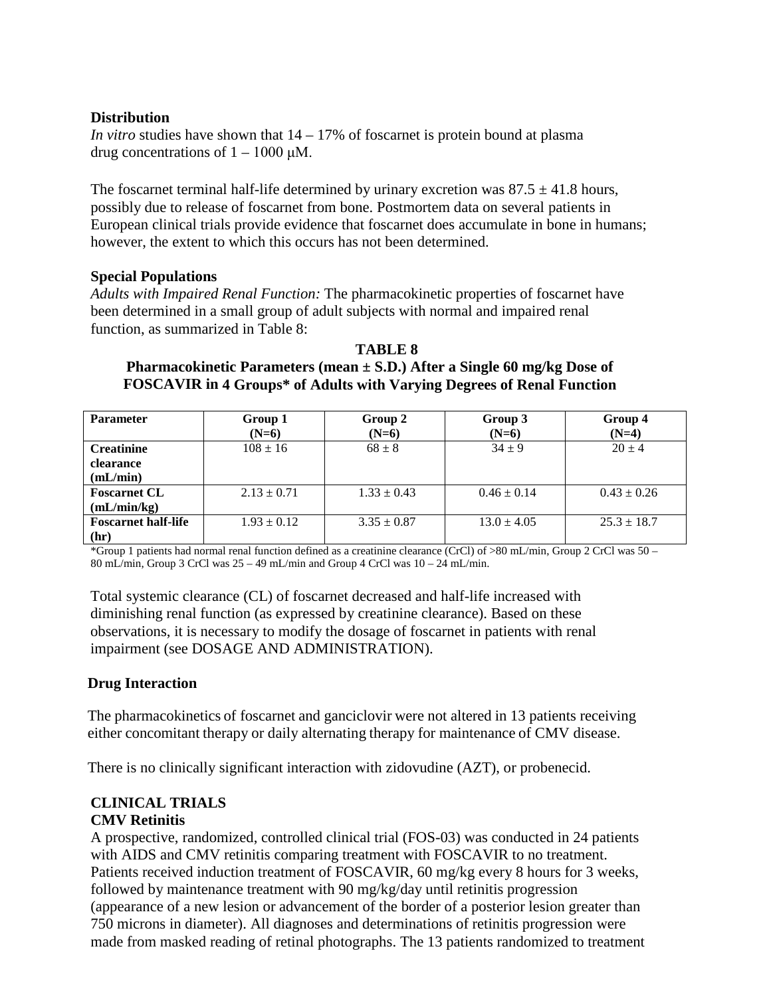## **Distribution**

*In vitro* studies have shown that 14 – 17% of foscarnet is protein bound at plasma drug concentrations of  $1 - 1000 \mu M$ .

The foscarnet terminal half-life determined by urinary excretion was  $87.5 \pm 41.8$  hours, possibly due to release of foscarnet from bone. Postmortem data on several patients in European clinical trials provide evidence that foscarnet does accumulate in bone in humans; however, the extent to which this occurs has not been determined.

## **Special Populations**

*Adults with Impaired Renal Function:* The pharmacokinetic properties of foscarnet have been determined in a small group of adult subjects with normal and impaired renal function, as summarized in Table 8:

**TABLE 8 Pharmacokinetic Parameters (mean ± S.D.) After a Single 60 mg/kg Dose of FOSCAVIR in 4 Groups\* of Adults with Varying Degrees of Renal Function**

| <b>Parameter</b>           | Group 1         | Group 2         | Group 3         | Group 4         |
|----------------------------|-----------------|-----------------|-----------------|-----------------|
|                            | $(N=6)$         | $(N=6)$         | $(N=6)$         | $(N=4)$         |
| <b>Creatinine</b>          | $108 \pm 16$    | $68 \pm 8$      | $34 + 9$        | $20 \pm 4$      |
| clearance                  |                 |                 |                 |                 |
| (mL/min)                   |                 |                 |                 |                 |
| <b>Foscarnet CL</b>        | $2.13 \pm 0.71$ | $1.33 \pm 0.43$ | $0.46 \pm 0.14$ | $0.43 \pm 0.26$ |
| (mL/min/kg)                |                 |                 |                 |                 |
| <b>Foscarnet half-life</b> | $1.93 \pm 0.12$ | $3.35 \pm 0.87$ | $13.0 \pm 4.05$ | $25.3 \pm 18.7$ |
| (hr)                       |                 |                 |                 |                 |

\*Group 1 patients had normal renal function defined as a creatinine clearance (CrCl) of >80 mL/min, Group 2 CrCl was 50 – 80 mL/min, Group 3 CrCl was  $25 - 49$  mL/min and Group 4 CrCl was  $10 - 24$  mL/min.

Total systemic clearance (CL) of foscarnet decreased and half-life increased with diminishing renal function (as expressed by creatinine clearance). Based on these observations, it is necessary to modify the dosage of foscarnet in patients with renal impairment (see DOSAGE AND ADMINISTRATION).

## **Drug Interaction**

The pharmacokinetics of foscarnet and ganciclovir were not altered in 13 patients receiving either concomitant therapy or daily alternating therapy for maintenance of CMV disease.

There is no clinically significant interaction with zidovudine (AZT), or probenecid.

# **CLINICAL TRIALS**

# **CMV Retinitis**

A prospective, randomized, controlled clinical trial (FOS-03) was conducted in 24 patients with AIDS and CMV retinitis comparing treatment with FOSCAVIR to no treatment. Patients received induction treatment of FOSCAVIR, 60 mg/kg every 8 hours for 3 weeks, followed by maintenance treatment with 90 mg/kg/day until retinitis progression (appearance of a new lesion or advancement of the border of a posterior lesion greater than 750 microns in diameter). All diagnoses and determinations of retinitis progression were made from masked reading of retinal photographs. The 13 patients randomized to treatment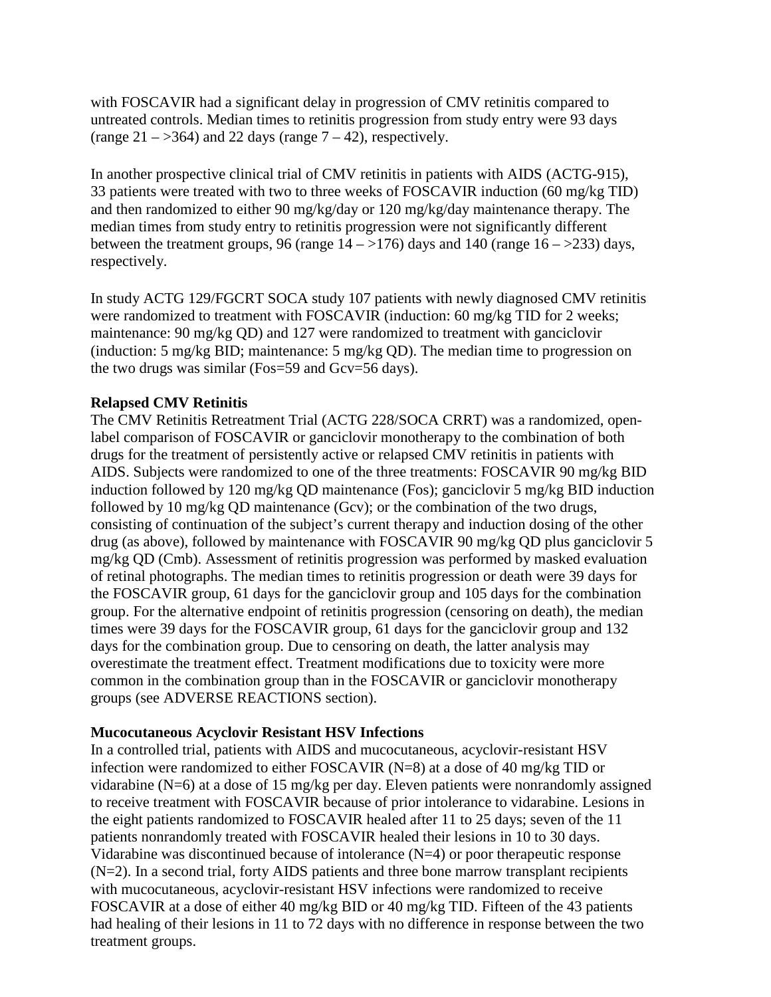with FOSCAVIR had a significant delay in progression of CMV retinitis compared to untreated controls. Median times to retinitis progression from study entry were 93 days (range  $21 - 364$ ) and 22 days (range  $7 - 42$ ), respectively.

In another prospective clinical trial of CMV retinitis in patients with AIDS (ACTG-915), 33 patients were treated with two to three weeks of FOSCAVIR induction (60 mg/kg TID) and then randomized to either 90 mg/kg/day or 120 mg/kg/day maintenance therapy. The median times from study entry to retinitis progression were not significantly different between the treatment groups, 96 (range  $14 - 176$ ) days and 140 (range  $16 - 233$ ) days, respectively.

In study ACTG 129/FGCRT SOCA study 107 patients with newly diagnosed CMV retinitis were randomized to treatment with FOSCAVIR (induction: 60 mg/kg TID for 2 weeks; maintenance: 90 mg/kg QD) and 127 were randomized to treatment with ganciclovir (induction: 5 mg/kg BID; maintenance: 5 mg/kg QD). The median time to progression on the two drugs was similar (Fos=59 and Gcv=56 days).

## **Relapsed CMV Retinitis**

The CMV Retinitis Retreatment Trial (ACTG 228/SOCA CRRT) was a randomized, openlabel comparison of FOSCAVIR or ganciclovir monotherapy to the combination of both drugs for the treatment of persistently active or relapsed CMV retinitis in patients with AIDS. Subjects were randomized to one of the three treatments: FOSCAVIR 90 mg/kg BID induction followed by 120 mg/kg QD maintenance (Fos); ganciclovir 5 mg/kg BID induction followed by 10 mg/kg QD maintenance (Gcv); or the combination of the two drugs, consisting of continuation of the subject's current therapy and induction dosing of the other drug (as above), followed by maintenance with FOSCAVIR 90 mg/kg QD plus ganciclovir 5 mg/kg QD (Cmb). Assessment of retinitis progression was performed by masked evaluation of retinal photographs. The median times to retinitis progression or death were 39 days for the FOSCAVIR group, 61 days for the ganciclovir group and 105 days for the combination group. For the alternative endpoint of retinitis progression (censoring on death), the median times were 39 days for the FOSCAVIR group, 61 days for the ganciclovir group and 132 days for the combination group. Due to censoring on death, the latter analysis may overestimate the treatment effect. Treatment modifications due to toxicity were more common in the combination group than in the FOSCAVIR or ganciclovir monotherapy groups (see ADVERSE REACTIONS section).

#### **Mucocutaneous Acyclovir Resistant HSV Infections**

In a controlled trial, patients with AIDS and mucocutaneous, acyclovir-resistant HSV infection were randomized to either FOSCAVIR (N=8) at a dose of 40 mg/kg TID or vidarabine (N=6) at a dose of 15 mg/kg per day. Eleven patients were nonrandomly assigned to receive treatment with FOSCAVIR because of prior intolerance to vidarabine. Lesions in the eight patients randomized to FOSCAVIR healed after 11 to 25 days; seven of the 11 patients nonrandomly treated with FOSCAVIR healed their lesions in 10 to 30 days. Vidarabine was discontinued because of intolerance (N=4) or poor therapeutic response (N=2). In a second trial, forty AIDS patients and three bone marrow transplant recipients with mucocutaneous, acyclovir-resistant HSV infections were randomized to receive FOSCAVIR at a dose of either 40 mg/kg BID or 40 mg/kg TID. Fifteen of the 43 patients had healing of their lesions in 11 to 72 days with no difference in response between the two treatment groups.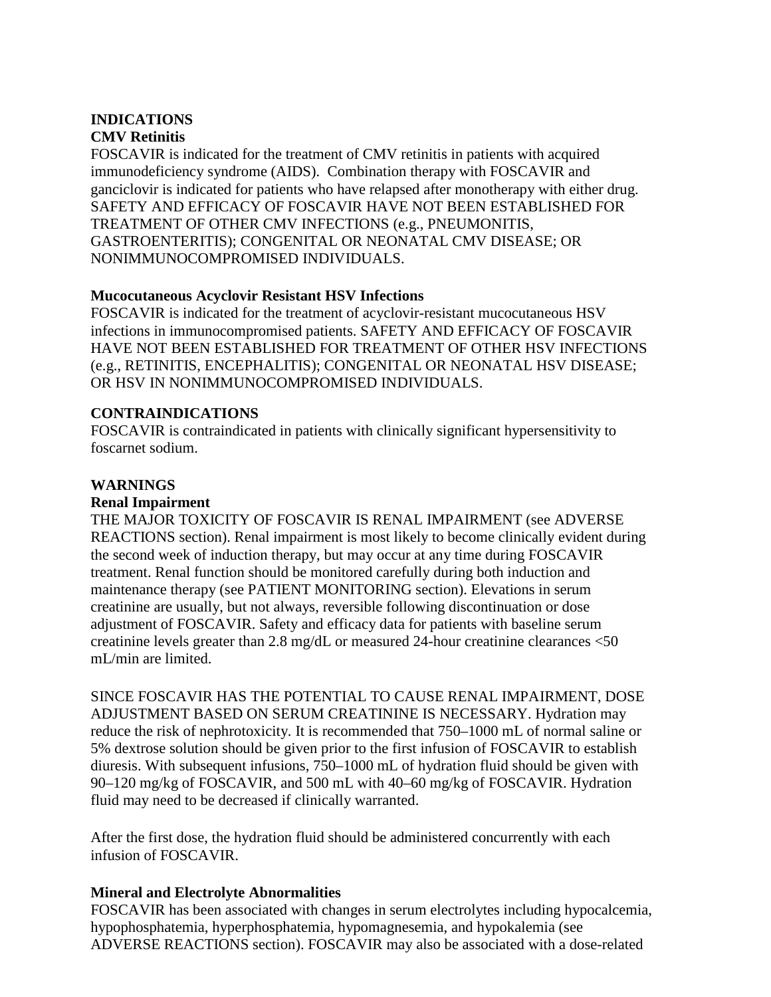# **INDICATIONS CMV Retinitis**

FOSCAVIR is indicated for the treatment of CMV retinitis in patients with acquired immunodeficiency syndrome (AIDS). Combination therapy with FOSCAVIR and ganciclovir is indicated for patients who have relapsed after monotherapy with either drug. SAFETY AND EFFICACY OF FOSCAVIR HAVE NOT BEEN ESTABLISHED FOR TREATMENT OF OTHER CMV INFECTIONS (e.g., PNEUMONITIS, GASTROENTERITIS); CONGENITAL OR NEONATAL CMV DISEASE; OR NONIMMUNOCOMPROMISED INDIVIDUALS.

## **Mucocutaneous Acyclovir Resistant HSV Infections**

FOSCAVIR is indicated for the treatment of acyclovir-resistant mucocutaneous HSV infections in immunocompromised patients. SAFETY AND EFFICACY OF FOSCAVIR HAVE NOT BEEN ESTABLISHED FOR TREATMENT OF OTHER HSV INFECTIONS (e.g., RETINITIS, ENCEPHALITIS); CONGENITAL OR NEONATAL HSV DISEASE; OR HSV IN NONIMMUNOCOMPROMISED INDIVIDUALS.

## **CONTRAINDICATIONS**

FOSCAVIR is contraindicated in patients with clinically significant hypersensitivity to foscarnet sodium.

## **WARNINGS**

## **Renal Impairment**

THE MAJOR TOXICITY OF FOSCAVIR IS RENAL IMPAIRMENT (see ADVERSE REACTIONS section). Renal impairment is most likely to become clinically evident during the second week of induction therapy, but may occur at any time during FOSCAVIR treatment. Renal function should be monitored carefully during both induction and maintenance therapy (see PATIENT MONITORING section). Elevations in serum creatinine are usually, but not always, reversible following discontinuation or dose adjustment of FOSCAVIR. Safety and efficacy data for patients with baseline serum creatinine levels greater than 2.8 mg/dL or measured 24-hour creatinine clearances <50 mL/min are limited.

SINCE FOSCAVIR HAS THE POTENTIAL TO CAUSE RENAL IMPAIRMENT, DOSE ADJUSTMENT BASED ON SERUM CREATININE IS NECESSARY. Hydration may reduce the risk of nephrotoxicity. It is recommended that 750–1000 mL of normal saline or 5% dextrose solution should be given prior to the first infusion of FOSCAVIR to establish diuresis. With subsequent infusions, 750–1000 mL of hydration fluid should be given with 90–120 mg/kg of FOSCAVIR, and 500 mL with 40–60 mg/kg of FOSCAVIR. Hydration fluid may need to be decreased if clinically warranted.

After the first dose, the hydration fluid should be administered concurrently with each infusion of FOSCAVIR.

## **Mineral and Electrolyte Abnormalities**

FOSCAVIR has been associated with changes in serum electrolytes including hypocalcemia, hypophosphatemia, hyperphosphatemia, hypomagnesemia, and hypokalemia (see ADVERSE REACTIONS section). FOSCAVIR may also be associated with a dose-related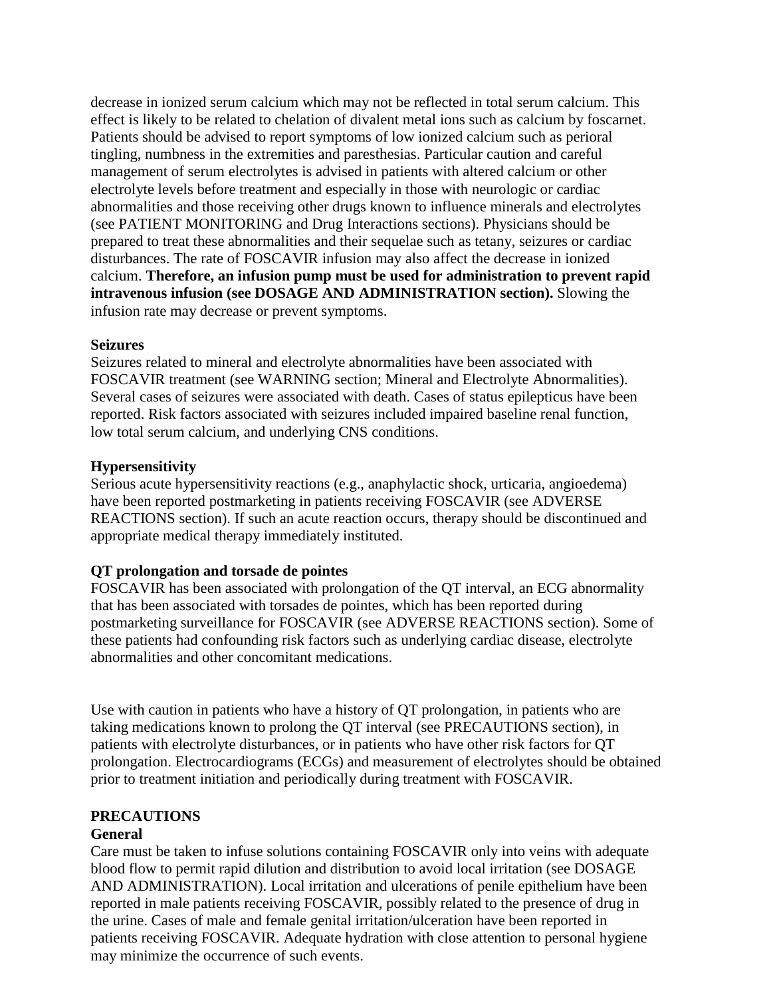decrease in ionized serum calcium which may not be reflected in total serum calcium. This effect is likely to be related to chelation of divalent metal ions such as calcium by foscarnet. Patients should be advised to report symptoms of low ionized calcium such as perioral tingling, numbness in the extremities and paresthesias. Particular caution and careful management of serum electrolytes is advised in patients with altered calcium or other electrolyte levels before treatment and especially in those with neurologic or cardiac abnormalities and those receiving other drugs known to influence minerals and electrolytes (see PATIENT MONITORING and Drug Interactions sections). Physicians should be prepared to treat these abnormalities and their sequelae such as tetany, seizures or cardiac disturbances. The rate of FOSCAVIR infusion may also affect the decrease in ionized calcium. **Therefore, an infusion pump must be used for administration to prevent rapid intravenous infusion (see DOSAGE AND ADMINISTRATION section).** Slowing the infusion rate may decrease or prevent symptoms.

#### **Seizures**

Seizures related to mineral and electrolyte abnormalities have been associated with FOSCAVIR treatment (see WARNING section; Mineral and Electrolyte Abnormalities). Several cases of seizures were associated with death. Cases of status epilepticus have been reported. Risk factors associated with seizures included impaired baseline renal function, low total serum calcium, and underlying CNS conditions.

#### **Hypersensitivity**

Serious acute hypersensitivity reactions (e.g., anaphylactic shock, urticaria, angioedema) have been reported postmarketing in patients receiving FOSCAVIR (see ADVERSE REACTIONS section). If such an acute reaction occurs, therapy should be discontinued and appropriate medical therapy immediately instituted.

## **QT prolongation and torsade de pointes**

FOSCAVIR has been associated with prolongation of the QT interval, an ECG abnormality that has been associated with torsades de pointes, which has been reported during postmarketing surveillance for FOSCAVIR (see ADVERSE REACTIONS section). Some of these patients had confounding risk factors such as underlying cardiac disease, electrolyte abnormalities and other concomitant medications.

Use with caution in patients who have a history of QT prolongation, in patients who are taking medications known to prolong the QT interval (see PRECAUTIONS section), in patients with electrolyte disturbances, or in patients who have other risk factors for QT prolongation. Electrocardiograms (ECGs) and measurement of electrolytes should be obtained prior to treatment initiation and periodically during treatment with FOSCAVIR.

## **PRECAUTIONS**

## **General**

Care must be taken to infuse solutions containing FOSCAVIR only into veins with adequate blood flow to permit rapid dilution and distribution to avoid local irritation (see DOSAGE AND ADMINISTRATION). Local irritation and ulcerations of penile epithelium have been reported in male patients receiving FOSCAVIR, possibly related to the presence of drug in the urine. Cases of male and female genital irritation/ulceration have been reported in patients receiving FOSCAVIR. Adequate hydration with close attention to personal hygiene may minimize the occurrence of such events.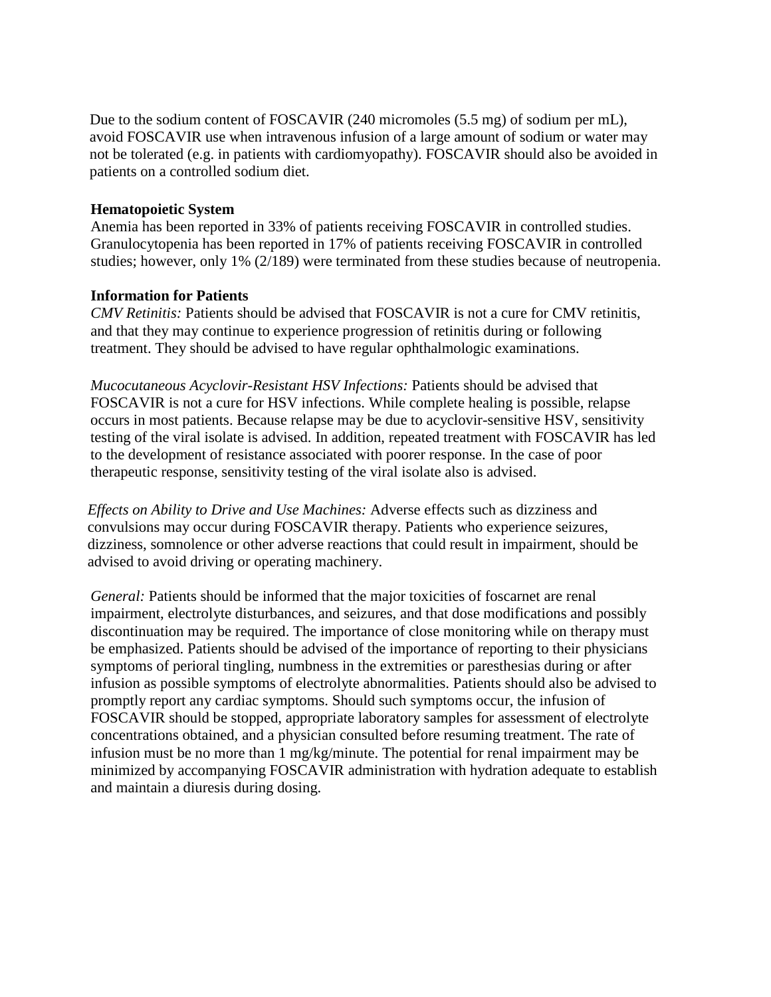Due to the sodium content of FOSCAVIR (240 micromoles (5.5 mg) of sodium per mL), avoid FOSCAVIR use when intravenous infusion of a large amount of sodium or water may not be tolerated (e.g. in patients with cardiomyopathy). FOSCAVIR should also be avoided in patients on a controlled sodium diet.

#### **Hematopoietic System**

Anemia has been reported in 33% of patients receiving FOSCAVIR in controlled studies. Granulocytopenia has been reported in 17% of patients receiving FOSCAVIR in controlled studies; however, only 1% (2/189) were terminated from these studies because of neutropenia.

#### **Information for Patients**

*CMV Retinitis:* Patients should be advised that FOSCAVIR is not a cure for CMV retinitis, and that they may continue to experience progression of retinitis during or following treatment. They should be advised to have regular ophthalmologic examinations.

*Mucocutaneous Acyclovir-Resistant HSV Infections:* Patients should be advised that FOSCAVIR is not a cure for HSV infections. While complete healing is possible, relapse occurs in most patients. Because relapse may be due to acyclovir-sensitive HSV, sensitivity testing of the viral isolate is advised. In addition, repeated treatment with FOSCAVIR has led to the development of resistance associated with poorer response. In the case of poor therapeutic response, sensitivity testing of the viral isolate also is advised.

*Effects on Ability to Drive and Use Machines:* Adverse effects such as dizziness and convulsions may occur during FOSCAVIR therapy. Patients who experience seizures, dizziness, somnolence or other adverse reactions that could result in impairment, should be advised to avoid driving or operating machinery.

*General:* Patients should be informed that the major toxicities of foscarnet are renal impairment, electrolyte disturbances, and seizures, and that dose modifications and possibly discontinuation may be required. The importance of close monitoring while on therapy must be emphasized. Patients should be advised of the importance of reporting to their physicians symptoms of perioral tingling, numbness in the extremities or paresthesias during or after infusion as possible symptoms of electrolyte abnormalities. Patients should also be advised to promptly report any cardiac symptoms. Should such symptoms occur, the infusion of FOSCAVIR should be stopped, appropriate laboratory samples for assessment of electrolyte concentrations obtained, and a physician consulted before resuming treatment. The rate of infusion must be no more than 1 mg/kg/minute. The potential for renal impairment may be minimized by accompanying FOSCAVIR administration with hydration adequate to establish and maintain a diuresis during dosing.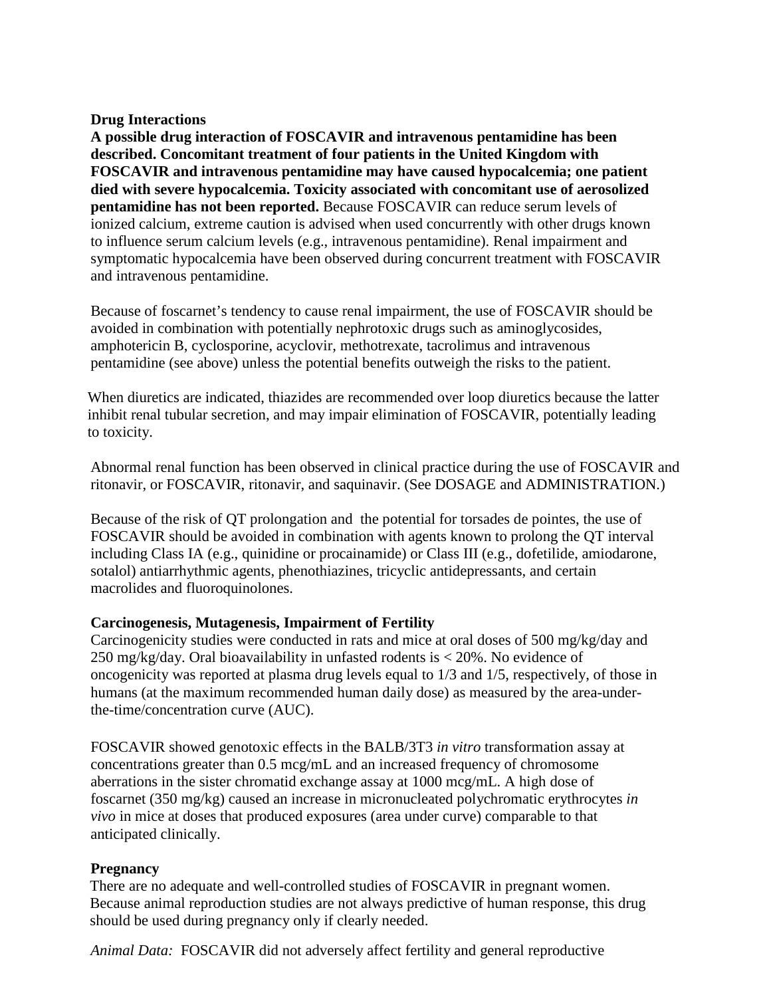## **Drug Interactions**

**A possible drug interaction of FOSCAVIR and intravenous pentamidine has been described. Concomitant treatment of four patients in the United Kingdom with FOSCAVIR and intravenous pentamidine may have caused hypocalcemia; one patient died with severe hypocalcemia. Toxicity associated with concomitant use of aerosolized pentamidine has not been reported.** Because FOSCAVIR can reduce serum levels of ionized calcium, extreme caution is advised when used concurrently with other drugs known to influence serum calcium levels (e.g., intravenous pentamidine). Renal impairment and symptomatic hypocalcemia have been observed during concurrent treatment with FOSCAVIR and intravenous pentamidine.

Because of foscarnet's tendency to cause renal impairment, the use of FOSCAVIR should be avoided in combination with potentially nephrotoxic drugs such as aminoglycosides, amphotericin B, cyclosporine, acyclovir, methotrexate, tacrolimus and intravenous pentamidine (see above) unless the potential benefits outweigh the risks to the patient.

When diuretics are indicated, thiazides are recommended over loop diuretics because the latter inhibit renal tubular secretion, and may impair elimination of FOSCAVIR, potentially leading to toxicity.

Abnormal renal function has been observed in clinical practice during the use of FOSCAVIR and ritonavir, or FOSCAVIR, ritonavir, and saquinavir. (See DOSAGE and ADMINISTRATION.)

Because of the risk of QT prolongation and the potential for torsades de pointes, the use of FOSCAVIR should be avoided in combination with agents known to prolong the QT interval including Class IA (e.g., quinidine or procainamide) or Class III (e.g., dofetilide, amiodarone, sotalol) antiarrhythmic agents, phenothiazines, tricyclic antidepressants, and certain macrolides and fluoroquinolones.

# **Carcinogenesis, Mutagenesis, Impairment of Fertility**

Carcinogenicity studies were conducted in rats and mice at oral doses of 500 mg/kg/day and 250 mg/kg/day. Oral bioavailability in unfasted rodents is < 20%. No evidence of oncogenicity was reported at plasma drug levels equal to 1/3 and 1/5, respectively, of those in humans (at the maximum recommended human daily dose) as measured by the area-underthe-time/concentration curve (AUC).

FOSCAVIR showed genotoxic effects in the BALB/3T3 *in vitro* transformation assay at concentrations greater than 0.5 mcg/mL and an increased frequency of chromosome aberrations in the sister chromatid exchange assay at 1000 mcg/mL. A high dose of foscarnet (350 mg/kg) caused an increase in micronucleated polychromatic erythrocytes *in vivo* in mice at doses that produced exposures (area under curve) comparable to that anticipated clinically.

# **Pregnancy**

There are no adequate and well-controlled studies of FOSCAVIR in pregnant women. Because animal reproduction studies are not always predictive of human response, this drug should be used during pregnancy only if clearly needed.

*Animal Data:* FOSCAVIR did not adversely affect fertility and general reproductive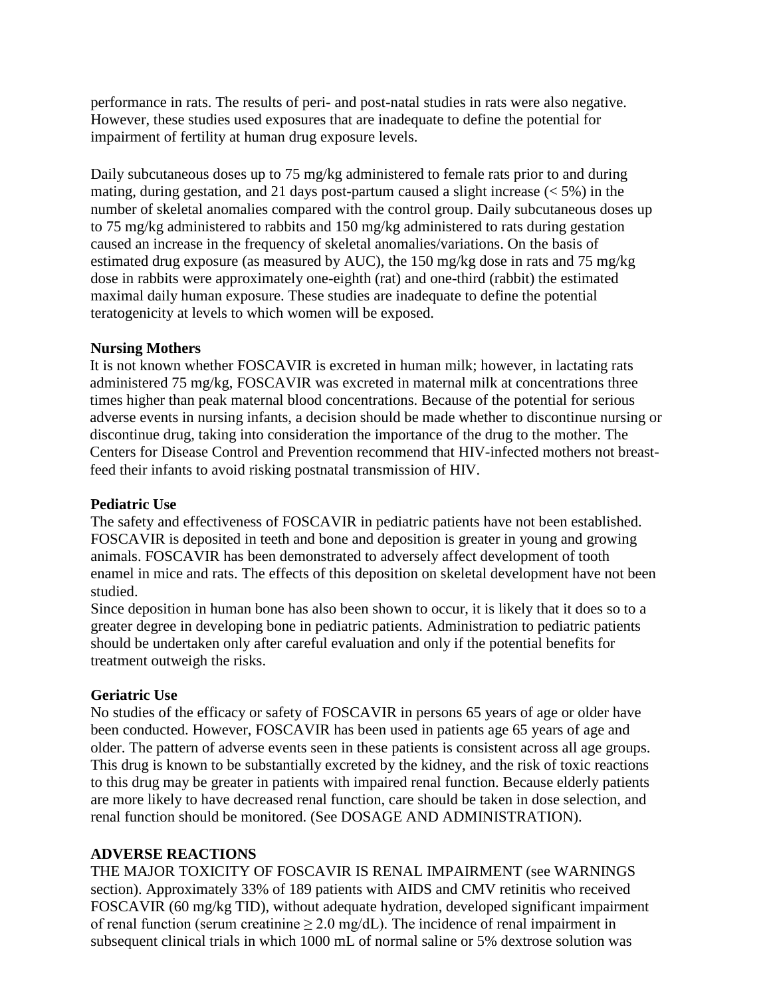performance in rats. The results of peri- and post-natal studies in rats were also negative. However, these studies used exposures that are inadequate to define the potential for impairment of fertility at human drug exposure levels.

Daily subcutaneous doses up to 75 mg/kg administered to female rats prior to and during mating, during gestation, and 21 days post-partum caused a slight increase  $(< 5\%$ ) in the number of skeletal anomalies compared with the control group. Daily subcutaneous doses up to 75 mg/kg administered to rabbits and 150 mg/kg administered to rats during gestation caused an increase in the frequency of skeletal anomalies/variations. On the basis of estimated drug exposure (as measured by AUC), the 150 mg/kg dose in rats and 75 mg/kg dose in rabbits were approximately one-eighth (rat) and one-third (rabbit) the estimated maximal daily human exposure. These studies are inadequate to define the potential teratogenicity at levels to which women will be exposed.

#### **Nursing Mothers**

It is not known whether FOSCAVIR is excreted in human milk; however, in lactating rats administered 75 mg/kg, FOSCAVIR was excreted in maternal milk at concentrations three times higher than peak maternal blood concentrations. Because of the potential for serious adverse events in nursing infants, a decision should be made whether to discontinue nursing or discontinue drug, taking into consideration the importance of the drug to the mother. The Centers for Disease Control and Prevention recommend that HIV-infected mothers not breastfeed their infants to avoid risking postnatal transmission of HIV.

#### **Pediatric Use**

The safety and effectiveness of FOSCAVIR in pediatric patients have not been established. FOSCAVIR is deposited in teeth and bone and deposition is greater in young and growing animals. FOSCAVIR has been demonstrated to adversely affect development of tooth enamel in mice and rats. The effects of this deposition on skeletal development have not been studied.

Since deposition in human bone has also been shown to occur, it is likely that it does so to a greater degree in developing bone in pediatric patients. Administration to pediatric patients should be undertaken only after careful evaluation and only if the potential benefits for treatment outweigh the risks.

## **Geriatric Use**

No studies of the efficacy or safety of FOSCAVIR in persons 65 years of age or older have been conducted. However, FOSCAVIR has been used in patients age 65 years of age and older. The pattern of adverse events seen in these patients is consistent across all age groups. This drug is known to be substantially excreted by the kidney, and the risk of toxic reactions to this drug may be greater in patients with impaired renal function. Because elderly patients are more likely to have decreased renal function, care should be taken in dose selection, and renal function should be monitored. (See DOSAGE AND ADMINISTRATION).

## **ADVERSE REACTIONS**

THE MAJOR TOXICITY OF FOSCAVIR IS RENAL IMPAIRMENT (see WARNINGS section). Approximately 33% of 189 patients with AIDS and CMV retinitis who received FOSCAVIR (60 mg/kg TID), without adequate hydration, developed significant impairment of renal function (serum creatinine  $\geq 2.0$  mg/dL). The incidence of renal impairment in subsequent clinical trials in which 1000 mL of normal saline or 5% dextrose solution was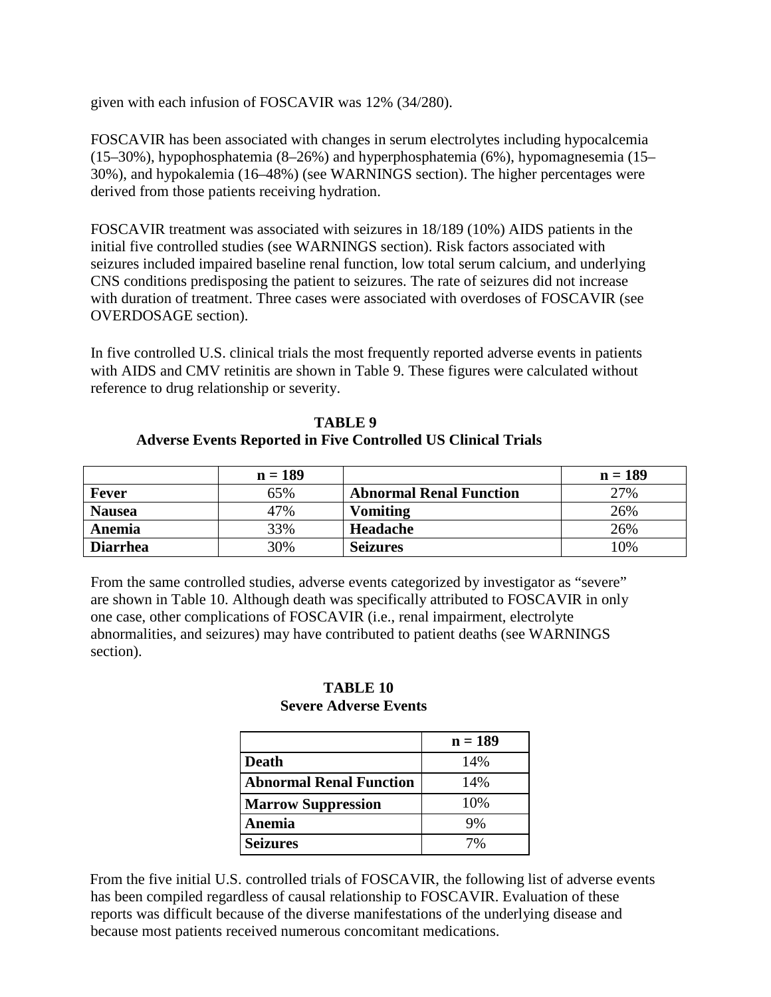given with each infusion of FOSCAVIR was 12% (34/280).

FOSCAVIR has been associated with changes in serum electrolytes including hypocalcemia (15–30%), hypophosphatemia (8–26%) and hyperphosphatemia (6%), hypomagnesemia (15– 30%), and hypokalemia (16–48%) (see WARNINGS section). The higher percentages were derived from those patients receiving hydration.

FOSCAVIR treatment was associated with seizures in 18/189 (10%) AIDS patients in the initial five controlled studies (see WARNINGS section). Risk factors associated with seizures included impaired baseline renal function, low total serum calcium, and underlying CNS conditions predisposing the patient to seizures. The rate of seizures did not increase with duration of treatment. Three cases were associated with overdoses of FOSCAVIR (see OVERDOSAGE section).

In five controlled U.S. clinical trials the most frequently reported adverse events in patients with AIDS and CMV retinitis are shown in Table 9. These figures were calculated without reference to drug relationship or severity.

| TABLE 9                                                              |
|----------------------------------------------------------------------|
| <b>Adverse Events Reported in Five Controlled US Clinical Trials</b> |

|                 | $n = 189$ |                                | $n = 189$ |
|-----------------|-----------|--------------------------------|-----------|
| Fever           | 65%       | <b>Abnormal Renal Function</b> | 27%       |
| <b>Nausea</b>   | 47%       | <b>Vomiting</b>                | 26%       |
| Anemia          | 33%       | Headache                       | 26%       |
| <b>Diarrhea</b> | 30%       | <b>Seizures</b>                | 10%       |

From the same controlled studies, adverse events categorized by investigator as "severe" are shown in Table 10. Although death was specifically attributed to FOSCAVIR in only one case, other complications of FOSCAVIR (i.e., renal impairment, electrolyte abnormalities, and seizures) may have contributed to patient deaths (see WARNINGS section).

## **TABLE 10 Severe Adverse Events**

|                                | $n = 189$ |
|--------------------------------|-----------|
| <b>Death</b>                   | 14%       |
| <b>Abnormal Renal Function</b> | 14%       |
| <b>Marrow Suppression</b>      | 10%       |
| Anemia                         | 9%        |
| <b>Seizures</b>                | 7%        |

From the five initial U.S. controlled trials of FOSCAVIR, the following list of adverse events has been compiled regardless of causal relationship to FOSCAVIR. Evaluation of these reports was difficult because of the diverse manifestations of the underlying disease and because most patients received numerous concomitant medications.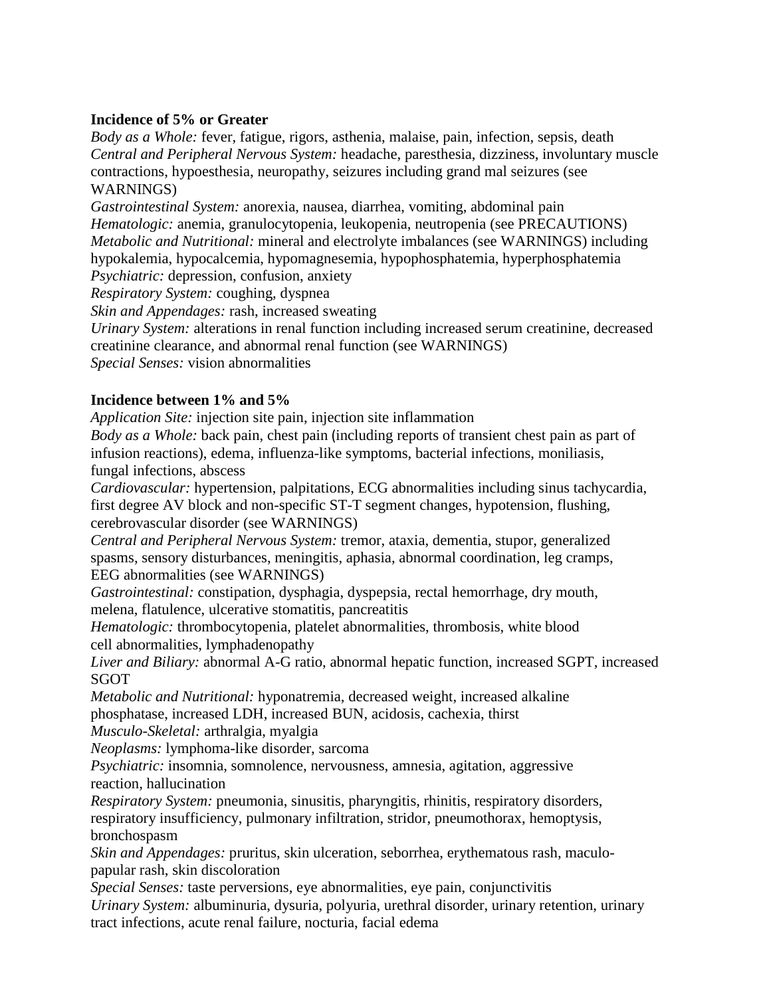## **Incidence of 5% or Greater**

*Body as a Whole:* fever, fatigue, rigors, asthenia, malaise, pain, infection, sepsis, death *Central and Peripheral Nervous System:* headache, paresthesia, dizziness, involuntary muscle contractions, hypoesthesia, neuropathy, seizures including grand mal seizures (see WARNINGS)

*Gastrointestinal System:* anorexia, nausea, diarrhea, vomiting, abdominal pain *Hematologic:* anemia, granulocytopenia, leukopenia, neutropenia (see PRECAUTIONS) *Metabolic and Nutritional:* mineral and electrolyte imbalances (see WARNINGS) including hypokalemia, hypocalcemia, hypomagnesemia, hypophosphatemia, hyperphosphatemia

*Psychiatric:* depression, confusion, anxiety

*Respiratory System:* coughing, dyspnea

*Skin and Appendages:* rash, increased sweating

*Urinary System:* alterations in renal function including increased serum creatinine, decreased creatinine clearance, and abnormal renal function (see WARNINGS)

*Special Senses:* vision abnormalities

# **Incidence between 1% and 5%**

*Application Site:* injection site pain, injection site inflammation

*Body as a Whole:* back pain, chest pain (including reports of transient chest pain as part of infusion reactions), edema, influenza-like symptoms, bacterial infections, moniliasis, fungal infections, abscess

*Cardiovascular:* hypertension, palpitations, ECG abnormalities including sinus tachycardia, first degree AV block and non-specific ST-T segment changes, hypotension, flushing, cerebrovascular disorder (see WARNINGS)

*Central and Peripheral Nervous System:* tremor, ataxia, dementia, stupor, generalized spasms, sensory disturbances, meningitis, aphasia, abnormal coordination, leg cramps, EEG abnormalities (see WARNINGS)

*Gastrointestinal:* constipation, dysphagia, dyspepsia, rectal hemorrhage, dry mouth, melena, flatulence, ulcerative stomatitis, pancreatitis

*Hematologic:* thrombocytopenia, platelet abnormalities, thrombosis, white blood cell abnormalities, lymphadenopathy

*Liver and Biliary:* abnormal A-G ratio, abnormal hepatic function, increased SGPT, increased SGOT

*Metabolic and Nutritional:* hyponatremia, decreased weight, increased alkaline phosphatase, increased LDH, increased BUN, acidosis, cachexia, thirst

*Musculo-Skeletal:* arthralgia, myalgia

*Neoplasms:* lymphoma-like disorder, sarcoma

*Psychiatric:* insomnia, somnolence, nervousness, amnesia, agitation, aggressive reaction, hallucination

*Respiratory System:* pneumonia, sinusitis, pharyngitis, rhinitis, respiratory disorders, respiratory insufficiency, pulmonary infiltration, stridor, pneumothorax, hemoptysis, bronchospasm

*Skin and Appendages:* pruritus, skin ulceration, seborrhea, erythematous rash, maculopapular rash, skin discoloration

*Special Senses:* taste perversions, eye abnormalities, eye pain, conjunctivitis *Urinary System:* albuminuria, dysuria, polyuria, urethral disorder, urinary retention, urinary tract infections, acute renal failure, nocturia, facial edema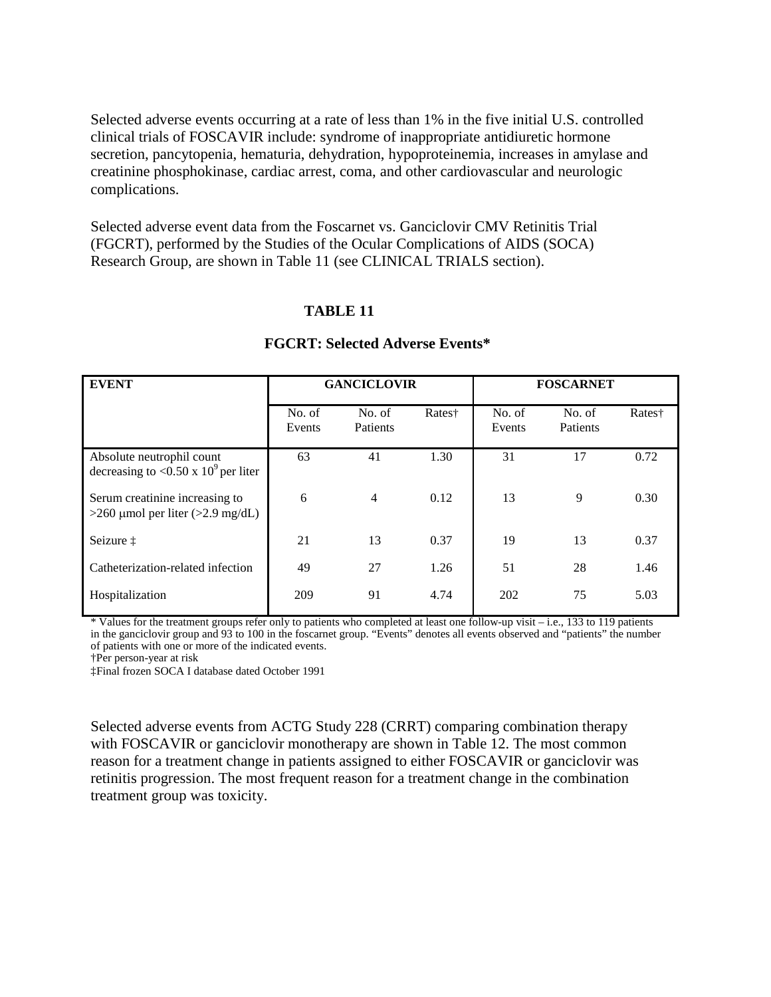Selected adverse events occurring at a rate of less than 1% in the five initial U.S. controlled clinical trials of FOSCAVIR include: syndrome of inappropriate antidiuretic hormone secretion, pancytopenia, hematuria, dehydration, hypoproteinemia, increases in amylase and creatinine phosphokinase, cardiac arrest, coma, and other cardiovascular and neurologic complications.

Selected adverse event data from the Foscarnet vs. Ganciclovir CMV Retinitis Trial (FGCRT), performed by the Studies of the Ocular Complications of AIDS (SOCA) Research Group, are shown in Table 11 (see CLINICAL TRIALS section).

## **TABLE 11**

| <b>EVENT</b>                                                            | <b>GANCICLOVIR</b> |                    | <b>FOSCARNET</b> |                  |                    |        |
|-------------------------------------------------------------------------|--------------------|--------------------|------------------|------------------|--------------------|--------|
|                                                                         | No. of<br>Events   | No. of<br>Patients | Rates†           | No. of<br>Events | No. of<br>Patients | Rates† |
| Absolute neutrophil count<br>decreasing to <0.50 x $10^9$ per liter     | 63                 | 41                 | 1.30             | 31               | 17                 | 0.72   |
| Serum creatinine increasing to<br>$>260$ µmol per liter ( $>2.9$ mg/dL) | 6                  | $\overline{4}$     | 0.12             | 13               | 9                  | 0.30   |
| Seizure ‡                                                               | 21                 | 13                 | 0.37             | 19               | 13                 | 0.37   |
| Catheterization-related infection                                       | 49                 | 27                 | 1.26             | 51               | 28                 | 1.46   |
| Hospitalization                                                         | 209                | 91                 | 4.74             | 202              | 75                 | 5.03   |

#### **FGCRT: Selected Adverse Events\***

\* Values for the treatment groups refer only to patients who completed at least one follow-up visit – i.e., 133 to 119 patients in the ganciclovir group and 93 to 100 in the foscarnet group. "Events" denotes all events observed and "patients" the number of patients with one or more of the indicated events.

†Per person-year at risk

‡Final frozen SOCA I database dated October 1991

Selected adverse events from ACTG Study 228 (CRRT) comparing combination therapy with FOSCAVIR or ganciclovir monotherapy are shown in Table 12. The most common reason for a treatment change in patients assigned to either FOSCAVIR or ganciclovir was retinitis progression. The most frequent reason for a treatment change in the combination treatment group was toxicity.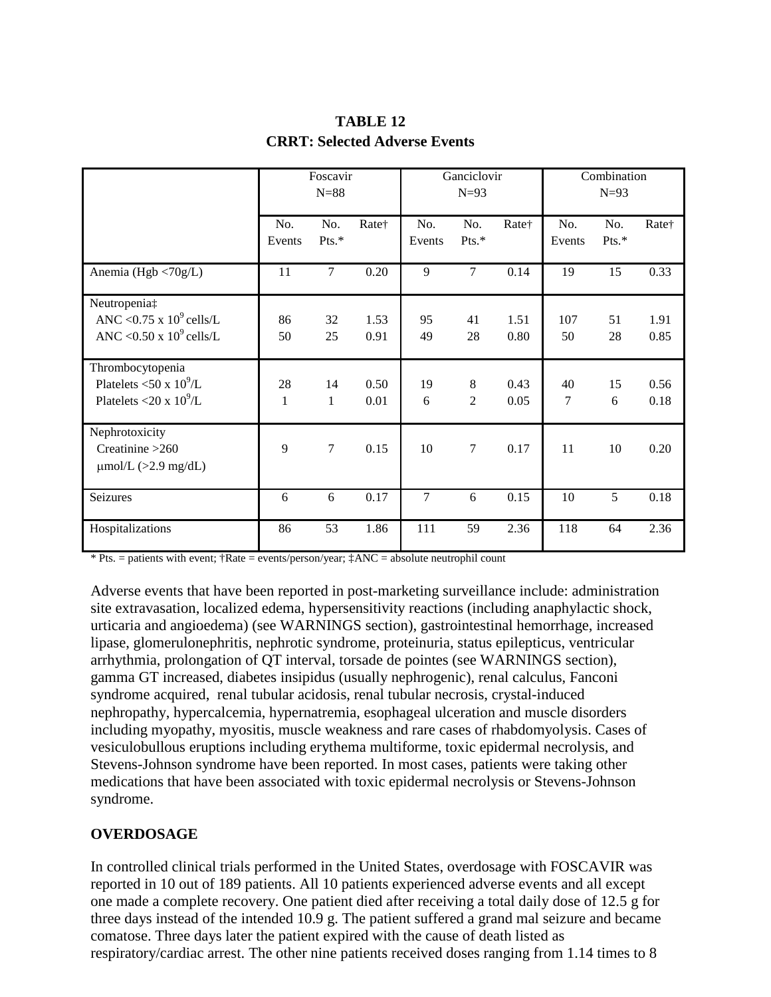|                                                                                      | Foscavir<br>$N=88$ |                    | Ganciclovir<br>$N=93$ |                | Combination<br>$N=93$ |              |               |              |              |
|--------------------------------------------------------------------------------------|--------------------|--------------------|-----------------------|----------------|-----------------------|--------------|---------------|--------------|--------------|
|                                                                                      | No.<br>Events      | No.<br>Pts.*       | Rate†                 | No.<br>Events  | No.<br>Pts.*          | Rate†        | No.<br>Events | No.<br>Pts.* | Rate†        |
| Anemia (Hgb <70g/L)                                                                  | 11                 | $\overline{7}$     | 0.20                  | 9              | $\overline{7}$        | 0.14         | 19            | 15           | 0.33         |
| Neutropenia‡<br>ANC < $0.75 \times 10^9$ cells/L<br>ANC < $0.50 \times 10^9$ cells/L | 86<br>50           | 32<br>25           | 1.53<br>0.91          | 95<br>49       | 41<br>28              | 1.51<br>0.80 | 107<br>50     | 51<br>28     | 1.91<br>0.85 |
| Thrombocytopenia<br>Platelets <50 x $10^9$ /L<br>Platelets <20 x $10^9$ /L           | 28<br>$\mathbf{1}$ | 14<br>$\mathbf{1}$ | 0.50<br>0.01          | 19<br>6        | 8<br>$\overline{2}$   | 0.43<br>0.05 | 40<br>7       | 15<br>6      | 0.56<br>0.18 |
| Nephrotoxicity<br>Creatinine $>260$<br>$\mu$ mol/L (>2.9 mg/dL)                      | 9                  | $\overline{7}$     | 0.15                  | 10             | $\boldsymbol{7}$      | 0.17         | 11            | 10           | 0.20         |
| Seizures                                                                             | 6                  | 6                  | 0.17                  | $\overline{7}$ | 6                     | 0.15         | 10            | 5            | 0.18         |
| Hospitalizations                                                                     | 86                 | 53                 | 1.86                  | 111            | 59                    | 2.36         | 118           | 64           | 2.36         |

# **TABLE 12 CRRT: Selected Adverse Events**

 $*$  Pts. = patients with event;  $\dagger$ Rate = events/person/year;  $\ddagger$ ANC = absolute neutrophil count

Adverse events that have been reported in post-marketing surveillance include: administration site extravasation, localized edema, hypersensitivity reactions (including anaphylactic shock, urticaria and angioedema) (see WARNINGS section), gastrointestinal hemorrhage, increased lipase, glomerulonephritis, nephrotic syndrome, proteinuria, status epilepticus, ventricular arrhythmia, prolongation of QT interval, torsade de pointes (see WARNINGS section), gamma GT increased, diabetes insipidus (usually nephrogenic), renal calculus, Fanconi syndrome acquired, renal tubular acidosis, renal tubular necrosis, crystal-induced nephropathy, hypercalcemia, hypernatremia, esophageal ulceration and muscle disorders including myopathy, myositis, muscle weakness and rare cases of rhabdomyolysis. Cases of vesiculobullous eruptions including erythema multiforme, toxic epidermal necrolysis, and Stevens-Johnson syndrome have been reported. In most cases, patients were taking other medications that have been associated with toxic epidermal necrolysis or Stevens-Johnson syndrome.

## **OVERDOSAGE**

In controlled clinical trials performed in the United States, overdosage with FOSCAVIR was reported in 10 out of 189 patients. All 10 patients experienced adverse events and all except one made a complete recovery. One patient died after receiving a total daily dose of 12.5 g for three days instead of the intended 10.9 g. The patient suffered a grand mal seizure and became comatose. Three days later the patient expired with the cause of death listed as respiratory/cardiac arrest. The other nine patients received doses ranging from 1.14 times to 8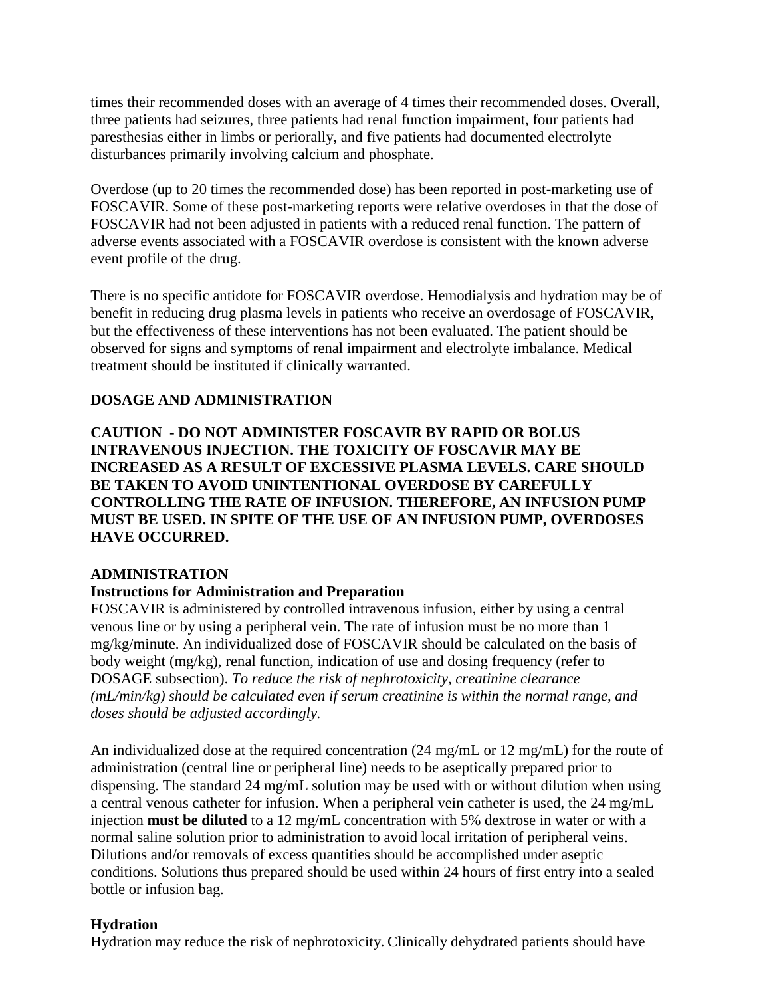times their recommended doses with an average of 4 times their recommended doses. Overall, three patients had seizures, three patients had renal function impairment, four patients had paresthesias either in limbs or periorally, and five patients had documented electrolyte disturbances primarily involving calcium and phosphate.

Overdose (up to 20 times the recommended dose) has been reported in post-marketing use of FOSCAVIR. Some of these post-marketing reports were relative overdoses in that the dose of FOSCAVIR had not been adjusted in patients with a reduced renal function. The pattern of adverse events associated with a FOSCAVIR overdose is consistent with the known adverse event profile of the drug.

There is no specific antidote for FOSCAVIR overdose. Hemodialysis and hydration may be of benefit in reducing drug plasma levels in patients who receive an overdosage of FOSCAVIR, but the effectiveness of these interventions has not been evaluated. The patient should be observed for signs and symptoms of renal impairment and electrolyte imbalance. Medical treatment should be instituted if clinically warranted.

## **DOSAGE AND ADMINISTRATION**

**CAUTION - DO NOT ADMINISTER FOSCAVIR BY RAPID OR BOLUS INTRAVENOUS INJECTION. THE TOXICITY OF FOSCAVIR MAY BE INCREASED AS A RESULT OF EXCESSIVE PLASMA LEVELS. CARE SHOULD BE TAKEN TO AVOID UNINTENTIONAL OVERDOSE BY CAREFULLY CONTROLLING THE RATE OF INFUSION. THEREFORE, AN INFUSION PUMP MUST BE USED. IN SPITE OF THE USE OF AN INFUSION PUMP, OVERDOSES HAVE OCCURRED.**

#### **ADMINISTRATION**

#### **Instructions for Administration and Preparation**

FOSCAVIR is administered by controlled intravenous infusion, either by using a central venous line or by using a peripheral vein. The rate of infusion must be no more than 1 mg/kg/minute. An individualized dose of FOSCAVIR should be calculated on the basis of body weight (mg/kg), renal function, indication of use and dosing frequency (refer to DOSAGE subsection). *To reduce the risk of nephrotoxicity, creatinine clearance (mL/min/kg) should be calculated even if serum creatinine is within the normal range, and doses should be adjusted accordingly.*

An individualized dose at the required concentration (24 mg/mL or 12 mg/mL) for the route of administration (central line or peripheral line) needs to be aseptically prepared prior to dispensing. The standard 24 mg/mL solution may be used with or without dilution when using a central venous catheter for infusion. When a peripheral vein catheter is used, the 24 mg/mL injection **must be diluted** to a 12 mg/mL concentration with 5% dextrose in water or with a normal saline solution prior to administration to avoid local irritation of peripheral veins. Dilutions and/or removals of excess quantities should be accomplished under aseptic conditions. Solutions thus prepared should be used within 24 hours of first entry into a sealed bottle or infusion bag.

## **Hydration**

Hydration may reduce the risk of nephrotoxicity. Clinically dehydrated patients should have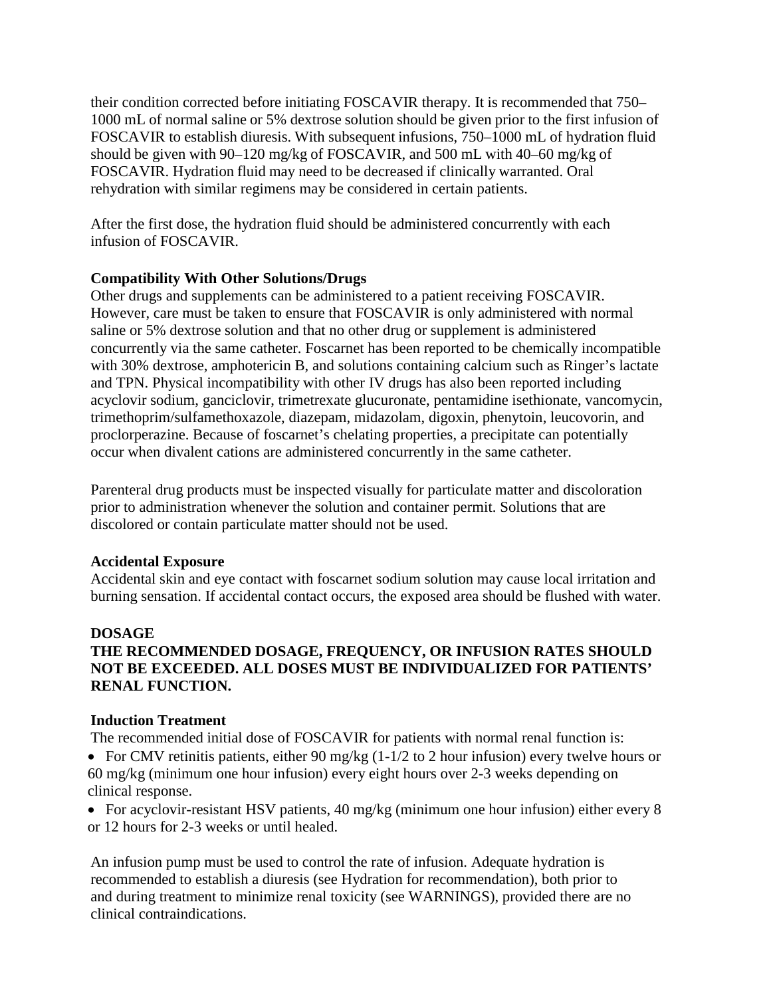their condition corrected before initiating FOSCAVIR therapy. It is recommended that 750– 1000 mL of normal saline or 5% dextrose solution should be given prior to the first infusion of FOSCAVIR to establish diuresis. With subsequent infusions, 750–1000 mL of hydration fluid should be given with 90–120 mg/kg of FOSCAVIR, and 500 mL with 40–60 mg/kg of FOSCAVIR. Hydration fluid may need to be decreased if clinically warranted. Oral rehydration with similar regimens may be considered in certain patients.

After the first dose, the hydration fluid should be administered concurrently with each infusion of FOSCAVIR.

## **Compatibility With Other Solutions/Drugs**

Other drugs and supplements can be administered to a patient receiving FOSCAVIR. However, care must be taken to ensure that FOSCAVIR is only administered with normal saline or 5% dextrose solution and that no other drug or supplement is administered concurrently via the same catheter. Foscarnet has been reported to be chemically incompatible with 30% dextrose, amphotericin B, and solutions containing calcium such as Ringer's lactate and TPN. Physical incompatibility with other IV drugs has also been reported including acyclovir sodium, ganciclovir, trimetrexate glucuronate, pentamidine isethionate, vancomycin, trimethoprim/sulfamethoxazole, diazepam, midazolam, digoxin, phenytoin, leucovorin, and proclorperazine. Because of foscarnet's chelating properties, a precipitate can potentially occur when divalent cations are administered concurrently in the same catheter.

Parenteral drug products must be inspected visually for particulate matter and discoloration prior to administration whenever the solution and container permit. Solutions that are discolored or contain particulate matter should not be used.

## **Accidental Exposure**

Accidental skin and eye contact with foscarnet sodium solution may cause local irritation and burning sensation. If accidental contact occurs, the exposed area should be flushed with water.

## **DOSAGE**

# **THE RECOMMENDED DOSAGE, FREQUENCY, OR INFUSION RATES SHOULD NOT BE EXCEEDED. ALL DOSES MUST BE INDIVIDUALIZED FOR PATIENTS' RENAL FUNCTION.**

## **Induction Treatment**

The recommended initial dose of FOSCAVIR for patients with normal renal function is:

• For CMV retinitis patients, either 90 mg/kg (1-1/2 to 2 hour infusion) every twelve hours or 60 mg/kg (minimum one hour infusion) every eight hours over 2-3 weeks depending on clinical response.

• For acyclovir-resistant HSV patients, 40 mg/kg (minimum one hour infusion) either every 8 or 12 hours for 2-3 weeks or until healed.

An infusion pump must be used to control the rate of infusion. Adequate hydration is recommended to establish a diuresis (see Hydration for recommendation), both prior to and during treatment to minimize renal toxicity (see WARNINGS), provided there are no clinical contraindications.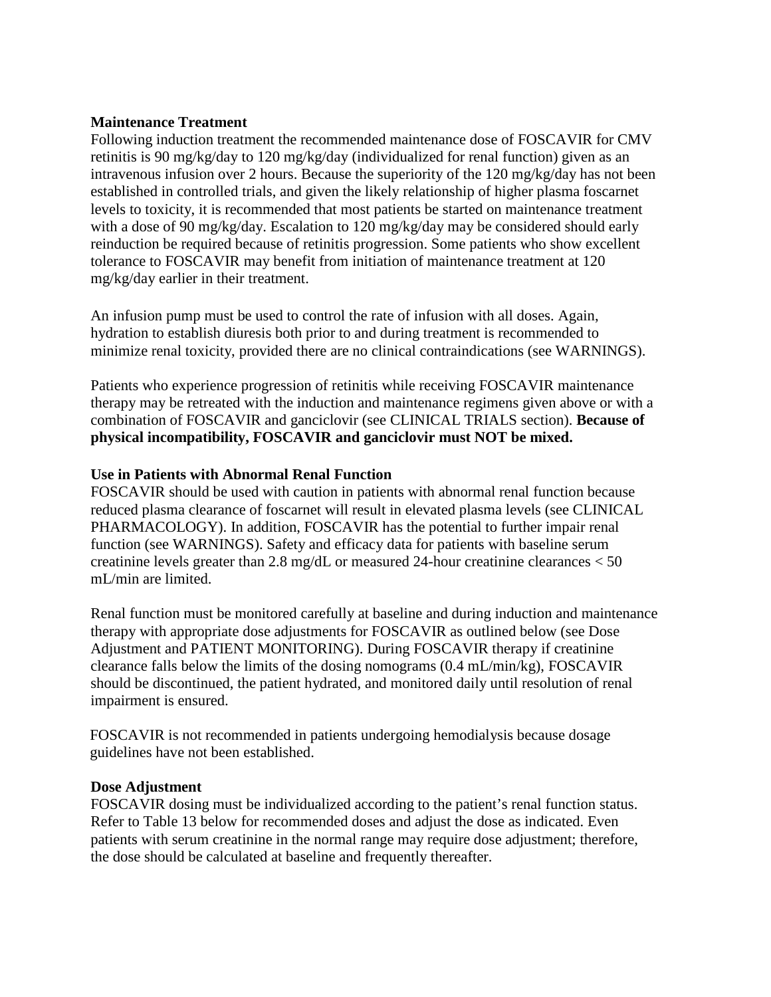## **Maintenance Treatment**

Following induction treatment the recommended maintenance dose of FOSCAVIR for CMV retinitis is 90 mg/kg/day to 120 mg/kg/day (individualized for renal function) given as an intravenous infusion over 2 hours. Because the superiority of the 120 mg/kg/day has not been established in controlled trials, and given the likely relationship of higher plasma foscarnet levels to toxicity, it is recommended that most patients be started on maintenance treatment with a dose of 90 mg/kg/day. Escalation to 120 mg/kg/day may be considered should early reinduction be required because of retinitis progression. Some patients who show excellent tolerance to FOSCAVIR may benefit from initiation of maintenance treatment at 120 mg/kg/day earlier in their treatment.

An infusion pump must be used to control the rate of infusion with all doses. Again, hydration to establish diuresis both prior to and during treatment is recommended to minimize renal toxicity, provided there are no clinical contraindications (see WARNINGS).

Patients who experience progression of retinitis while receiving FOSCAVIR maintenance therapy may be retreated with the induction and maintenance regimens given above or with a combination of FOSCAVIR and ganciclovir (see CLINICAL TRIALS section). **Because of physical incompatibility, FOSCAVIR and ganciclovir must NOT be mixed.**

## **Use in Patients with Abnormal Renal Function**

FOSCAVIR should be used with caution in patients with abnormal renal function because reduced plasma clearance of foscarnet will result in elevated plasma levels (see CLINICAL PHARMACOLOGY). In addition, FOSCAVIR has the potential to further impair renal function (see WARNINGS). Safety and efficacy data for patients with baseline serum creatinine levels greater than 2.8 mg/dL or measured 24-hour creatinine clearances < 50 mL/min are limited.

Renal function must be monitored carefully at baseline and during induction and maintenance therapy with appropriate dose adjustments for FOSCAVIR as outlined below (see Dose Adjustment and PATIENT MONITORING). During FOSCAVIR therapy if creatinine clearance falls below the limits of the dosing nomograms (0.4 mL/min/kg), FOSCAVIR should be discontinued, the patient hydrated, and monitored daily until resolution of renal impairment is ensured.

FOSCAVIR is not recommended in patients undergoing hemodialysis because dosage guidelines have not been established.

#### **Dose Adjustment**

FOSCAVIR dosing must be individualized according to the patient's renal function status. Refer to Table 13 below for recommended doses and adjust the dose as indicated. Even patients with serum creatinine in the normal range may require dose adjustment; therefore, the dose should be calculated at baseline and frequently thereafter.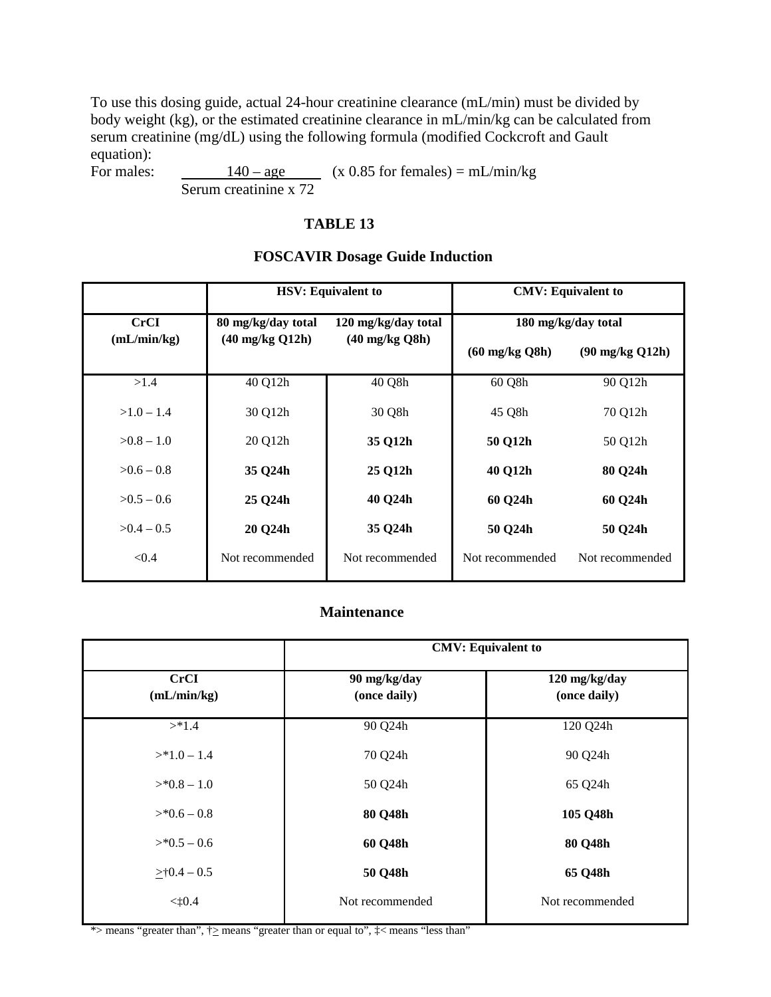To use this dosing guide, actual 24-hour creatinine clearance (mL/min) must be divided by body weight (kg), or the estimated creatinine clearance in mL/min/kg can be calculated from serum creatinine (mg/dL) using the following formula (modified Cockcroft and Gault equation):

For males:  $140 - age$  (x 0.85 for females) = mL/min/kg Serum creatinine x 72

#### **TABLE 13**

#### **FOSCAVIR Dosage Guide Induction**

|                            |                                           | <b>HSV: Equivalent to</b> | <b>CMV: Equivalent to</b> |                 |  |  |
|----------------------------|-------------------------------------------|---------------------------|---------------------------|-----------------|--|--|
| <b>CrCI</b><br>(mL/min/kg) | 80 mg/kg/day total<br>120 mg/kg/day total |                           | 180 mg/kg/day total       |                 |  |  |
|                            | $(40 \text{ mg/kg } Q12h)$                | $(40 \text{ mg/kg Q8h})$  | $(60 \text{ mg/kg Q8h})$  | (90 mg/kg Q12h) |  |  |
| >1.4                       | 40 Q12h                                   | 40 Q8h                    | 60 Q8h                    | 90 Q12h         |  |  |
| $>1.0 - 1.4$               | 30 Q12h                                   | 30 Q8h                    | 45 Q8h                    | 70 Q12h         |  |  |
| $>0.8-1.0$                 | 20 Q12h                                   | 35 Q12h                   | 50 Q12h                   | 50 Q12h         |  |  |
| $>0.6-0.8$                 | 35 Q24h                                   | 25 Q12h                   | 40 Q12h                   | 80 Q24h         |  |  |
| $>0.5-0.6$                 | 25 Q24h                                   | 40 Q24h                   | 60 Q24h                   | 60 Q24h         |  |  |
| $>0.4-0.5$                 | 20 Q24h                                   | 35 Q24h                   | 50 Q24h                   | 50 Q24h         |  |  |
| < 0.4                      | Not recommended                           | Not recommended           | Not recommended           | Not recommended |  |  |

## **Maintenance**

|                            | <b>CMV: Equivalent to</b>    |                               |  |  |
|----------------------------|------------------------------|-------------------------------|--|--|
| <b>CrCI</b><br>(mL/min/kg) | 90 mg/kg/day<br>(once daily) | 120 mg/kg/day<br>(once daily) |  |  |
| >1.4                       | 90 Q24h                      | 120 Q24h                      |  |  |
| $>$ *1.0 – 1.4             | 70 Q24h                      | 90 Q24h                       |  |  |
| $>$ *0.8 – 1.0             | 50 Q24h                      | 65 Q24h                       |  |  |
| $>$ *0.6 – 0.8             | 80 Q48h                      | 105 Q48h                      |  |  |
| $>$ *0.5 – 0.6             | 60 Q48h                      | 80 Q48h                       |  |  |
| $>10.4 - 0.5$              | 50 Q48h                      | 65 Q48h                       |  |  |
| $<$ t0.4                   | Not recommended              | Not recommended               |  |  |

\*> means "greater than",  $\uparrow \ge$  means "greater than or equal to",  $\downarrow \lt$  means "less than"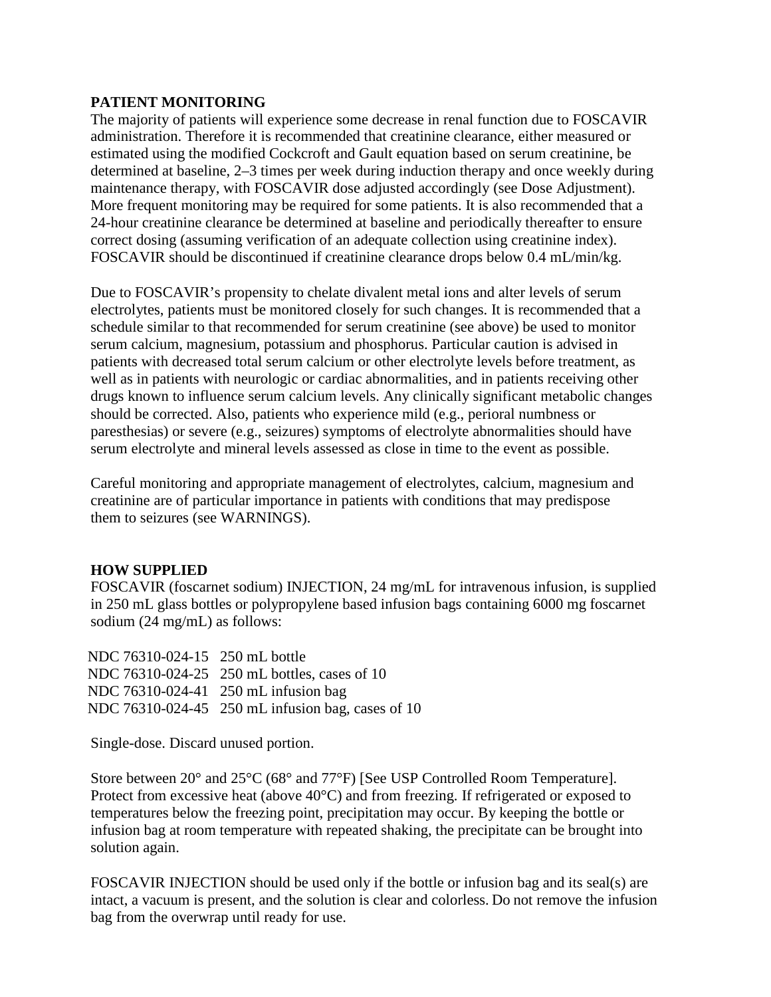## **PATIENT MONITORING**

The majority of patients will experience some decrease in renal function due to FOSCAVIR administration. Therefore it is recommended that creatinine clearance, either measured or estimated using the modified Cockcroft and Gault equation based on serum creatinine, be determined at baseline, 2–3 times per week during induction therapy and once weekly during maintenance therapy, with FOSCAVIR dose adjusted accordingly (see Dose Adjustment). More frequent monitoring may be required for some patients. It is also recommended that a 24-hour creatinine clearance be determined at baseline and periodically thereafter to ensure correct dosing (assuming verification of an adequate collection using creatinine index). FOSCAVIR should be discontinued if creatinine clearance drops below 0.4 mL/min/kg.

Due to FOSCAVIR's propensity to chelate divalent metal ions and alter levels of serum electrolytes, patients must be monitored closely for such changes. It is recommended that a schedule similar to that recommended for serum creatinine (see above) be used to monitor serum calcium, magnesium, potassium and phosphorus. Particular caution is advised in patients with decreased total serum calcium or other electrolyte levels before treatment, as well as in patients with neurologic or cardiac abnormalities, and in patients receiving other drugs known to influence serum calcium levels. Any clinically significant metabolic changes should be corrected. Also, patients who experience mild (e.g., perioral numbness or paresthesias) or severe (e.g., seizures) symptoms of electrolyte abnormalities should have serum electrolyte and mineral levels assessed as close in time to the event as possible.

Careful monitoring and appropriate management of electrolytes, calcium, magnesium and creatinine are of particular importance in patients with conditions that may predispose them to seizures (see WARNINGS).

## **HOW SUPPLIED**

FOSCAVIR (foscarnet sodium) INJECTION, 24 mg/mL for intravenous infusion, is supplied in 250 mL glass bottles or polypropylene based infusion bags containing 6000 mg foscarnet sodium (24 mg/mL) as follows:

| NDC 76310-024-15 250 mL bottle                    |
|---------------------------------------------------|
| NDC 76310-024-25 250 mL bottles, cases of 10      |
| NDC 76310-024-41 250 mL infusion bag              |
| NDC 76310-024-45 250 mL infusion bag, cases of 10 |
|                                                   |

Single-dose. Discard unused portion.

Store between 20° and 25°C (68° and 77°F) [See USP Controlled Room Temperature]. Protect from excessive heat (above 40°C) and from freezing. If refrigerated or exposed to temperatures below the freezing point, precipitation may occur. By keeping the bottle or infusion bag at room temperature with repeated shaking, the precipitate can be brought into solution again.

FOSCAVIR INJECTION should be used only if the bottle or infusion bag and its seal(s) are intact, a vacuum is present, and the solution is clear and colorless. Do not remove the infusion bag from the overwrap until ready for use.